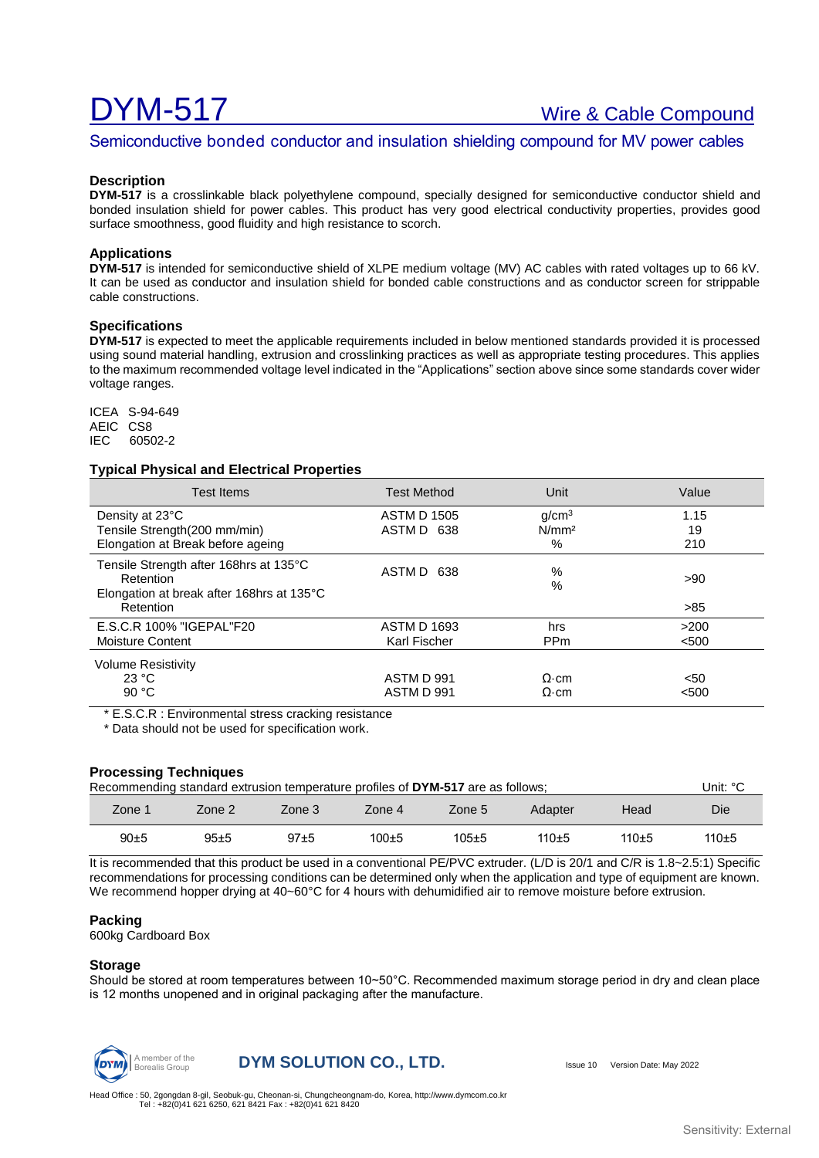# DYM-517 Wire & Cable Compound

# Semiconductive bonded conductor and insulation shielding compound for MV power cables

#### **Description**

**DYM-517** is a crosslinkable black polyethylene compound, specially designed for semiconductive conductor shield and bonded insulation shield for power cables. This product has very good electrical conductivity properties, provides good surface smoothness, good fluidity and high resistance to scorch.

### **Applications**

**DYM-517** is intended for semiconductive shield of XLPE medium voltage (MV) AC cables with rated voltages up to 66 kV. It can be used as conductor and insulation shield for bonded cable constructions and as conductor screen for strippable cable constructions.

# **Specifications**

**DYM-517** is expected to meet the applicable requirements included in below mentioned standards provided it is processed using sound material handling, extrusion and crosslinking practices as well as appropriate testing procedures. This applies to the maximum recommended voltage level indicated in the "Applications" section above since some standards cover wider voltage ranges.

ICEA S-94-649 AEIC CS8 IEC 60502-2

#### **Typical Physical and Electrical Properties**

| Test Items                                                                                                    | <b>Test Method</b>                 | Unit                                           | Value             |
|---------------------------------------------------------------------------------------------------------------|------------------------------------|------------------------------------------------|-------------------|
| Density at 23°C<br>Tensile Strength(200 mm/min)<br>Elongation at Break before ageing                          | <b>ASTM D 1505</b><br>ASTM D 638   | g/cm <sup>3</sup><br>N/mm <sup>2</sup><br>$\%$ | 1.15<br>19<br>210 |
| Tensile Strength after 168hrs at 135°C<br>Retention<br>Elongation at break after 168hrs at 135°C<br>Retention | ASTM D<br>638                      | %<br>$\%$                                      | >90<br>>85        |
| E.S.C.R 100% "IGEPAL"F20<br>Moisture Content                                                                  | <b>ASTM D 1693</b><br>Karl Fischer | hrs<br>PP <sub>m</sub>                         | >200<br>< 500     |
| <b>Volume Resistivity</b><br>23 °C<br>90 $°C$                                                                 | ASTM D 991<br>ASTM D 991           | $\Omega$ ·cm<br>$\Omega$ ·cm                   | $50$<br>< 500     |

\* E.S.C.R : Environmental stress cracking resistance

\* Data should not be used for specification work.

#### **Processing Techniques**

| Recommending standard extrusion temperature profiles of DYM-517 are as follows; |          |        |             |             |         |         | Unit: °C |
|---------------------------------------------------------------------------------|----------|--------|-------------|-------------|---------|---------|----------|
| Zone 1                                                                          | Zone 2   | Zone 3 | Zone 4      | Zone 5      | Adapter | Head    | Die      |
| $90+5$                                                                          | $95 + 5$ | $97+5$ | $100 \pm 5$ | $105 \pm 5$ | $110+5$ | $110+5$ | $110+5$  |

It is recommended that this product be used in a conventional PE/PVC extruder. (L/D is 20/1 and C/R is 1.8~2.5:1) Specific recommendations for processing conditions can be determined only when the application and type of equipment are known. We recommend hopper drying at 40~60°C for 4 hours with dehumidified air to remove moisture before extrusion.

#### **Packing**

600kg Cardboard Box

#### **Storage**

Should be stored at room temperatures between 10~50°C. Recommended maximum storage period in dry and clean place is 12 months unopened and in original packaging after the manufacture.



**DYM SOLUTION CO., LTD.** ISSUE 10 Version Date: May 2022

Head Office : 50, 2gongdan 8-gil, Seobuk-gu, Cheonan-si, Chungcheongnam-do, Korea[, http://www.dymcom.co.kr](http://www.dymcom.co.kr/) Tel : +82(0)41 621 6250, 621 8421 Fax : +82(0)41 621 8420